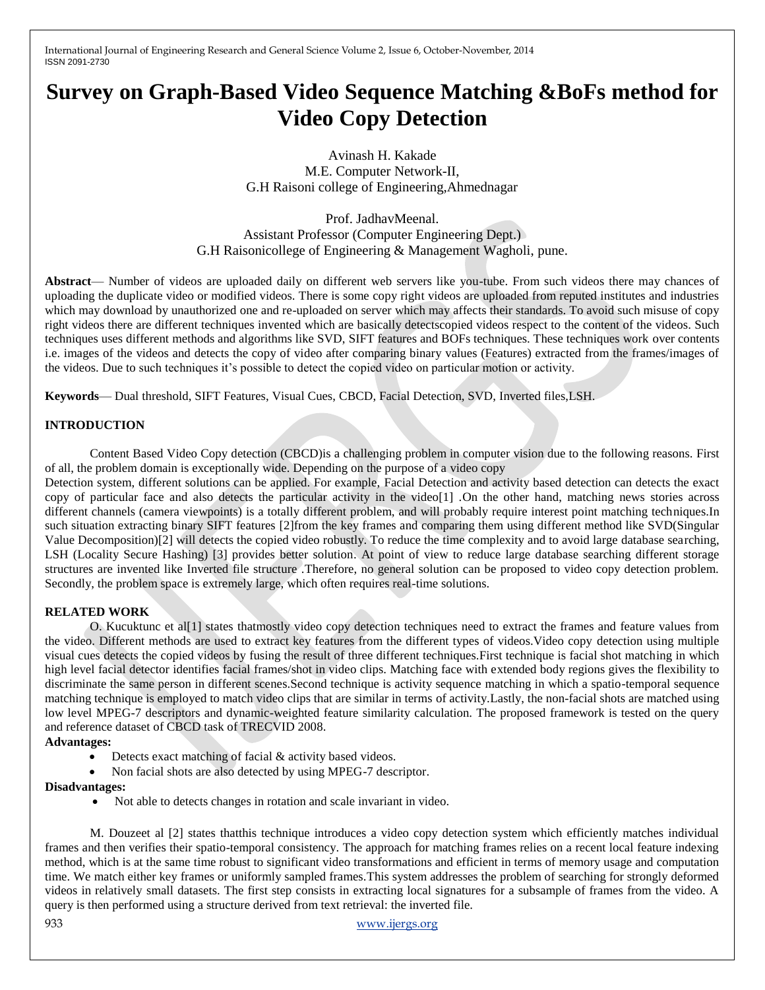International Journal of Engineering Research and General Science Volume 2, Issue 6, October-November, 2014 ISSN 2091-2730

# **Survey on Graph-Based Video Sequence Matching &BoFs method for Video Copy Detection**

Avinash H. Kakade M.E. Computer Network-II, G.H Raisoni college of Engineering,Ahmednagar

Prof. JadhavMeenal. Assistant Professor (Computer Engineering Dept.) G.H Raisonicollege of Engineering & Management Wagholi, pune.

**Abstract**— Number of videos are uploaded daily on different web servers like you-tube. From such videos there may chances of uploading the duplicate video or modified videos. There is some copy right videos are uploaded from reputed institutes and industries which may download by unauthorized one and re-uploaded on server which may affects their standards. To avoid such misuse of copy right videos there are different techniques invented which are basically detectscopied videos respect to the content of the videos. Such techniques uses different methods and algorithms like SVD, SIFT features and BOFs techniques. These techniques work over contents i.e. images of the videos and detects the copy of video after comparing binary values (Features) extracted from the frames/images of the videos. Due to such techniques it's possible to detect the copied video on particular motion or activity.

**Keywords**— Dual threshold, SIFT Features, Visual Cues, CBCD, Facial Detection, SVD, Inverted files,LSH.

# **INTRODUCTION**

Content Based Video Copy detection (CBCD)is a challenging problem in computer vision due to the following reasons. First of all, the problem domain is exceptionally wide. Depending on the purpose of a video copy

Detection system, different solutions can be applied. For example, Facial Detection and activity based detection can detects the exact copy of particular face and also detects the particular activity in the video[1] .On the other hand, matching news stories across different channels (camera viewpoints) is a totally different problem, and will probably require interest point matching techniques.In such situation extracting binary SIFT features [2]from the key frames and comparing them using different method like SVD(Singular Value Decomposition)[2] will detects the copied video robustly. To reduce the time complexity and to avoid large database searching, LSH (Locality Secure Hashing) [3] provides better solution. At point of view to reduce large database searching different storage structures are invented like Inverted file structure .Therefore, no general solution can be proposed to video copy detection problem. Secondly, the problem space is extremely large, which often requires real-time solutions.

# **RELATED WORK**

O. Kucuktunc et al[1] states thatmostly video copy detection techniques need to extract the frames and feature values from the video. Different methods are used to extract key features from the different types of videos.Video copy detection using multiple visual cues detects the copied videos by fusing the result of three different techniques.First technique is facial shot matching in which high level facial detector identifies facial frames/shot in video clips. Matching face with extended body regions gives the flexibility to discriminate the same person in different scenes.Second technique is activity sequence matching in which a spatio-temporal sequence matching technique is employed to match video clips that are similar in terms of activity.Lastly, the non-facial shots are matched using low level MPEG-7 descriptors and dynamic-weighted feature similarity calculation. The proposed framework is tested on the query and reference dataset of CBCD task of TRECVID 2008.

#### **Advantages:**

- Detects exact matching of facial & activity based videos.
- Non facial shots are also detected by using MPEG-7 descriptor.

#### **Disadvantages:**

Not able to detects changes in rotation and scale invariant in video.

M. Douzeet al [2] states thatthis technique introduces a video copy detection system which efficiently matches individual frames and then verifies their spatio-temporal consistency. The approach for matching frames relies on a recent local feature indexing method, which is at the same time robust to significant video transformations and efficient in terms of memory usage and computation time. We match either key frames or uniformly sampled frames.This system addresses the problem of searching for strongly deformed videos in relatively small datasets. The first step consists in extracting local signatures for a subsample of frames from the video. A query is then performed using a structure derived from text retrieval: the inverted file.

933 www.ijergs.org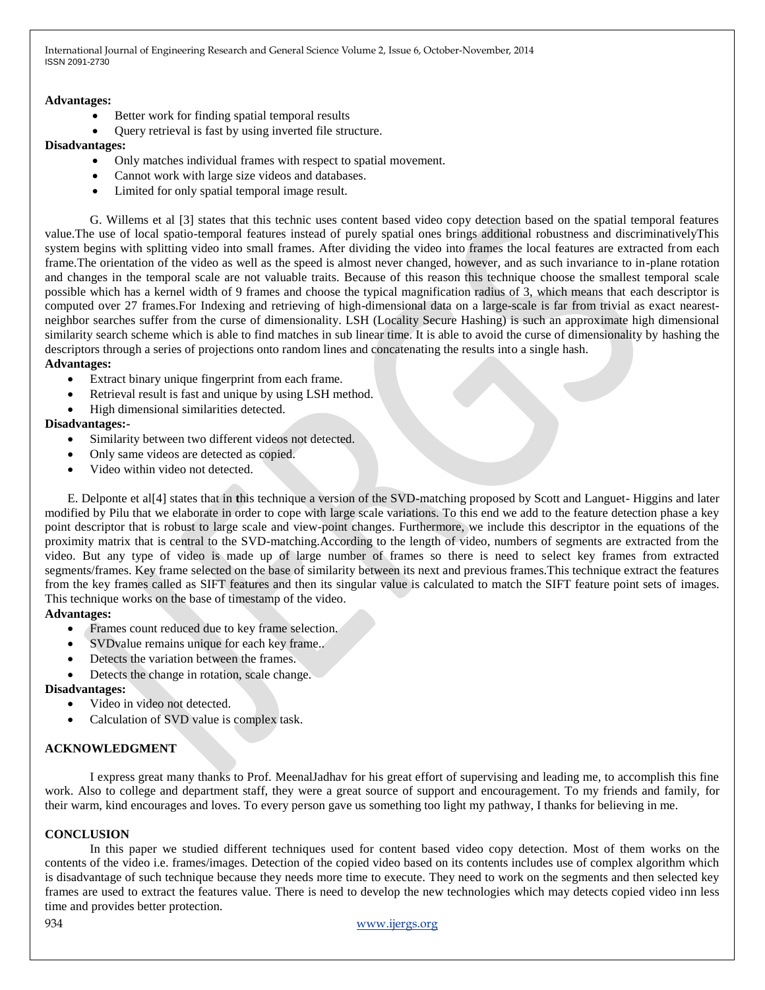International Journal of Engineering Research and General Science Volume 2, Issue 6, October-November, 2014 ISSN 2091-2730

## **Advantages:**

- Better work for finding spatial temporal results
- Query retrieval is fast by using inverted file structure.

#### **Disadvantages:**

- Only matches individual frames with respect to spatial movement.
- Cannot work with large size videos and databases.
- Limited for only spatial temporal image result.

G. Willems et al [3] states that this technic uses content based video copy detection based on the spatial temporal features value.The use of local spatio-temporal features instead of purely spatial ones brings additional robustness and discriminativelyThis system begins with splitting video into small frames. After dividing the video into frames the local features are extracted from each frame.The orientation of the video as well as the speed is almost never changed, however, and as such invariance to in-plane rotation and changes in the temporal scale are not valuable traits. Because of this reason this technique choose the smallest temporal scale possible which has a kernel width of 9 frames and choose the typical magnification radius of 3, which means that each descriptor is computed over 27 frames.For Indexing and retrieving of high-dimensional data on a large-scale is far from trivial as exact nearestneighbor searches suffer from the curse of dimensionality. LSH (Locality Secure Hashing) is such an approximate high dimensional similarity search scheme which is able to find matches in sub linear time. It is able to avoid the curse of dimensionality by hashing the descriptors through a series of projections onto random lines and concatenating the results into a single hash.

## **Advantages:**

- Extract binary unique fingerprint from each frame.
- Retrieval result is fast and unique by using LSH method.
- High dimensional similarities detected.

## **Disadvantages:-**

- Similarity between two different videos not detected.
- Only same videos are detected as copied.
- Video within video not detected.

E. Delponte et al[4] states that in **t**his technique a version of the SVD-matching proposed by Scott and Languet- Higgins and later modified by Pilu that we elaborate in order to cope with large scale variations. To this end we add to the feature detection phase a key point descriptor that is robust to large scale and view-point changes. Furthermore, we include this descriptor in the equations of the proximity matrix that is central to the SVD-matching.According to the length of video, numbers of segments are extracted from the video. But any type of video is made up of large number of frames so there is need to select key frames from extracted segments/frames. Key frame selected on the base of similarity between its next and previous frames.This technique extract the features from the key frames called as SIFT features and then its singular value is calculated to match the SIFT feature point sets of images. This technique works on the base of timestamp of the video.

# **Advantages:**

- Frames count reduced due to key frame selection.
- SVDvalue remains unique for each key frame..
- Detects the variation between the frames.
- Detects the change in rotation, scale change.

# **Disadvantages:**

- Video in video not detected.
- Calculation of SVD value is complex task.

# **ACKNOWLEDGMENT**

I express great many thanks to Prof. MeenalJadhav for his great effort of supervising and leading me, to accomplish this fine work. Also to college and department staff, they were a great source of support and encouragement. To my friends and family, for their warm, kind encourages and loves. To every person gave us something too light my pathway, I thanks for believing in me.

# **CONCLUSION**

In this paper we studied different techniques used for content based video copy detection. Most of them works on the contents of the video i.e. frames/images. Detection of the copied video based on its contents includes use of complex algorithm which is disadvantage of such technique because they needs more time to execute. They need to work on the segments and then selected key frames are used to extract the features value. There is need to develop the new technologies which may detects copied video inn less time and provides better protection.